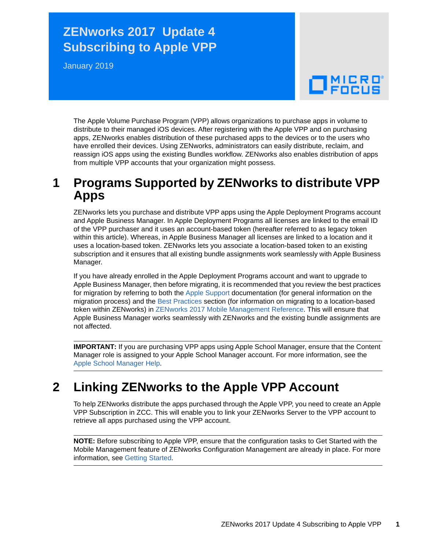### **ZENworks 2017 Update 4 Subscribing to Apple VPP**

January 2019

# $\Box$ MICRO'

The Apple Volume Purchase Program (VPP) allows organizations to purchase apps in volume to distribute to their managed iOS devices. After registering with the Apple VPP and on purchasing apps, ZENworks enables distribution of these purchased apps to the devices or to the users who have enrolled their devices. Using ZENworks, administrators can easily distribute, reclaim, and reassign iOS apps using the existing Bundles workflow. ZENworks also enables distribution of apps from multiple VPP accounts that your organization might possess.

#### **1 Programs Supported by ZENworks to distribute VPP Apps**

ZENworks lets you purchase and distribute VPP apps using the Apple Deployment Programs account and Apple Business Manager. In Apple Deployment Programs all licenses are linked to the email ID of the VPP purchaser and it uses an account-based token (hereafter referred to as legacy token within this article). Whereas, in Apple Business Manager all licenses are linked to a location and it uses a location-based token. ZENworks lets you associate a location-based token to an existing subscription and it ensures that all existing bundle assignments work seamlessly with Apple Business Manager.

If you have already enrolled in the Apple Deployment Programs account and want to upgrade to Apple Business Manager, then before migrating, it is recommended that you review the best practices for migration by referring to both the [Apple Support](https://support.apple.com/en-in/HT208257) documentation (for general information on the migration process) and the [Best Practices](https://www.novell.com/documentation/zenworks2017/pdfdoc/zen_mobile/zen_mobile.pdf#t46tumqjaijq) section (for information on migrating to a location-based token within ZENworks) in [ZENworks 2017 Mobile Management Reference.](https://www.novell.com/documentation/zenworks2017/pdfdoc/zen_mobile/zen_mobile.pdf#bookinfo) This will ensure that Apple Business Manager works seamlessly with ZENworks and the existing bundle assignments are not affected.

**IMPORTANT:** If you are purchasing VPP apps using Apple School Manager, ensure that the Content Manager role is assigned to your Apple School Manager account. For more information, see the [Apple School Manager Help](https://help.apple.com/schoolmanager/#/apd352f2e0ae).

### **2 Linking ZENworks to the Apple VPP Account**

To help ZENworks distribute the apps purchased through the Apple VPP, you need to create an Apple VPP Subscription in ZCC. This will enable you to link your ZENworks Server to the VPP account to retrieve all apps purchased using the VPP account.

**NOTE:** Before subscribing to Apple VPP, ensure that the configuration tasks to Get Started with the Mobile Management feature of ZENworks Configuration Management are already in place. For more information, see [Getting Started](https://www.novell.com/documentation/zenworks2017/pdfdoc/zen_mobile/zen_mobile.pdf#t47mbmxu2lxz).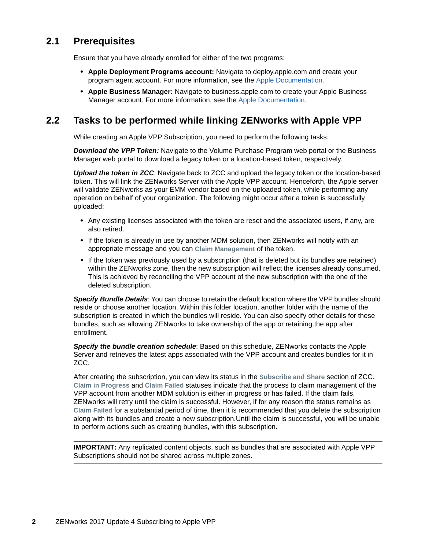#### **2.1 Prerequisites**

Ensure that you have already enrolled for either of the two programs:

- **Apple Deployment Programs account:** Navigate to deploy.apple.com and create your program agent account. For more information, see the [Apple Documentation.](https://www.apple.com/business/docs/VPP_Business_Guide.pdf)
- **Apple Business Manager:** Navigate to business.apple.com to create your Apple Business Manager account. For more information, see the [Apple Documentation.](https://help.apple.com/businessmanager/#/tes40577306d)

#### **2.2 Tasks to be performed while linking ZENworks with Apple VPP**

While creating an Apple VPP Subscription, you need to perform the following tasks:

*Download the VPP Token:* Navigate to the Volume Purchase Program web portal or the Business Manager web portal to download a legacy token or a location-based token, respectively.

*Upload the token in ZCC*: Navigate back to ZCC and upload the legacy token or the location-based token. This will link the ZENworks Server with the Apple VPP account. Henceforth, the Apple server will validate ZENworks as your EMM vendor based on the uploaded token, while performing any operation on behalf of your organization. The following might occur after a token is successfully uploaded:

- Any existing licenses associated with the token are reset and the associated users, if any, are also retired.
- If the token is already in use by another MDM solution, then ZENworks will notify with an appropriate message and you can **Claim Management** of the token.
- If the token was previously used by a subscription (that is deleted but its bundles are retained) within the ZENworks zone, then the new subscription will reflect the licenses already consumed. This is achieved by reconciling the VPP account of the new subscription with the one of the deleted subscription.

*Specify Bundle Details*: You can choose to retain the default location where the VPP bundles should reside or choose another location. Within this folder location, another folder with the name of the subscription is created in which the bundles will reside. You can also specify other details for these bundles, such as allowing ZENworks to take ownership of the app or retaining the app after enrollment.

*Specify the bundle creation schedule*: Based on this schedule, ZENworks contacts the Apple Server and retrieves the latest apps associated with the VPP account and creates bundles for it in ZCC.

After creating the subscription, you can view its status in the **Subscribe and Share** section of ZCC. **Claim in Progress** and **Claim Failed** statuses indicate that the process to claim management of the VPP account from another MDM solution is either in progress or has failed. If the claim fails, ZENworks will retry until the claim is successful. However, if for any reason the status remains as **Claim Failed** for a substantial period of time, then it is recommended that you delete the subscription along with its bundles and create a new subscription.Until the claim is successful, you will be unable to perform actions such as creating bundles, with this subscription.

**IMPORTANT:** Any replicated content objects, such as bundles that are associated with Apple VPP Subscriptions should not be shared across multiple zones.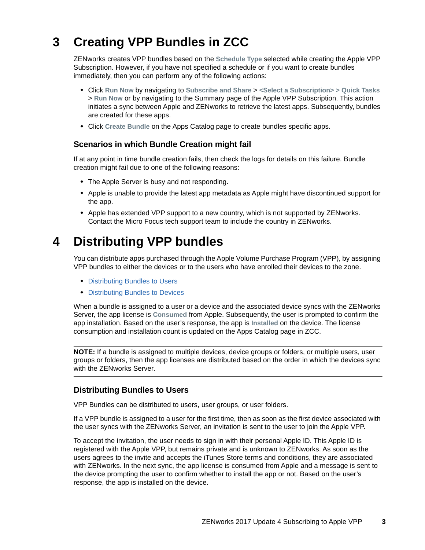# **3 Creating VPP Bundles in ZCC**

ZENworks creates VPP bundles based on the **Schedule Type** selected while creating the Apple VPP Subscription. However, if you have not specified a schedule or if you want to create bundles immediately, then you can perform any of the following actions:

- Click **Run Now** by navigating to **Subscribe and Share** > **<Select a Subscription> > Quick Tasks** > **Run Now** or by navigating to the Summary page of the Apple VPP Subscription. This action initiates a sync between Apple and ZENworks to retrieve the latest apps. Subsequently, bundles are created for these apps.
- Click **Create Bundle** on the Apps Catalog page to create bundles specific apps.

#### **Scenarios in which Bundle Creation might fail**

If at any point in time bundle creation fails, then check the logs for details on this failure. Bundle creation might fail due to one of the following reasons:

- The Apple Server is busy and not responding.
- Apple is unable to provide the latest app metadata as Apple might have discontinued support for the app.
- Apple has extended VPP support to a new country, which is not supported by ZENworks. Contact the Micro Focus tech support team to include the country in ZENworks.

### **4 Distributing VPP bundles**

You can distribute apps purchased through the Apple Volume Purchase Program (VPP), by assigning VPP bundles to either the devices or to the users who have enrolled their devices to the zone.

- [Distributing Bundles to Users](#page-2-0)
- [Distributing Bundles to Devices](#page-3-0)

When a bundle is assigned to a user or a device and the associated device syncs with the ZENworks Server, the app license is **Consumed** from Apple. Subsequently, the user is prompted to confirm the app installation. Based on the user's response, the app is **Installed** on the device. The license consumption and installation count is updated on the Apps Catalog page in ZCC.

**NOTE:** If a bundle is assigned to multiple devices, device groups or folders, or multiple users, user groups or folders, then the app licenses are distributed based on the order in which the devices sync with the ZENworks Server.

#### <span id="page-2-0"></span>**Distributing Bundles to Users**

VPP Bundles can be distributed to users, user groups, or user folders.

If a VPP bundle is assigned to a user for the first time, then as soon as the first device associated with the user syncs with the ZENworks Server, an invitation is sent to the user to join the Apple VPP.

To accept the invitation, the user needs to sign in with their personal Apple ID. This Apple ID is registered with the Apple VPP, but remains private and is unknown to ZENworks. As soon as the users agrees to the invite and accepts the iTunes Store terms and conditions, they are associated with ZENworks. In the next sync, the app license is consumed from Apple and a message is sent to the device prompting the user to confirm whether to install the app or not. Based on the user's response, the app is installed on the device.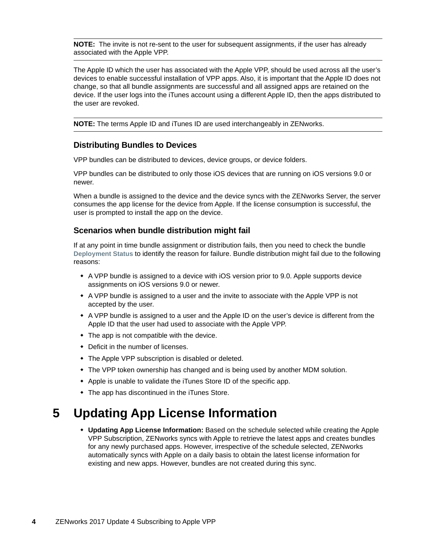**NOTE:** The invite is not re-sent to the user for subsequent assignments, if the user has already associated with the Apple VPP.

The Apple ID which the user has associated with the Apple VPP, should be used across all the user's devices to enable successful installation of VPP apps. Also, it is important that the Apple ID does not change, so that all bundle assignments are successful and all assigned apps are retained on the device. If the user logs into the iTunes account using a different Apple ID, then the apps distributed to the user are revoked.

**NOTE:** The terms Apple ID and iTunes ID are used interchangeably in ZENworks.

#### <span id="page-3-0"></span>**Distributing Bundles to Devices**

VPP bundles can be distributed to devices, device groups, or device folders.

VPP bundles can be distributed to only those iOS devices that are running on iOS versions 9.0 or newer.

When a bundle is assigned to the device and the device syncs with the ZENworks Server, the server consumes the app license for the device from Apple. If the license consumption is successful, the user is prompted to install the app on the device.

#### **Scenarios when bundle distribution might fail**

If at any point in time bundle assignment or distribution fails, then you need to check the bundle **Deployment Status** to identify the reason for failure. Bundle distribution might fail due to the following reasons:

- A VPP bundle is assigned to a device with iOS version prior to 9.0. Apple supports device assignments on iOS versions 9.0 or newer.
- A VPP bundle is assigned to a user and the invite to associate with the Apple VPP is not accepted by the user.
- A VPP bundle is assigned to a user and the Apple ID on the user's device is different from the Apple ID that the user had used to associate with the Apple VPP.
- $\bullet$  The app is not compatible with the device.
- Deficit in the number of licenses.
- The Apple VPP subscription is disabled or deleted.
- The VPP token ownership has changed and is being used by another MDM solution.
- Apple is unable to validate the iTunes Store ID of the specific app.
- The app has discontinued in the iTunes Store.

## **5 Updating App License Information**

 **Updating App License Information:** Based on the schedule selected while creating the Apple VPP Subscription, ZENworks syncs with Apple to retrieve the latest apps and creates bundles for any newly purchased apps. However, irrespective of the schedule selected, ZENworks automatically syncs with Apple on a daily basis to obtain the latest license information for existing and new apps. However, bundles are not created during this sync.